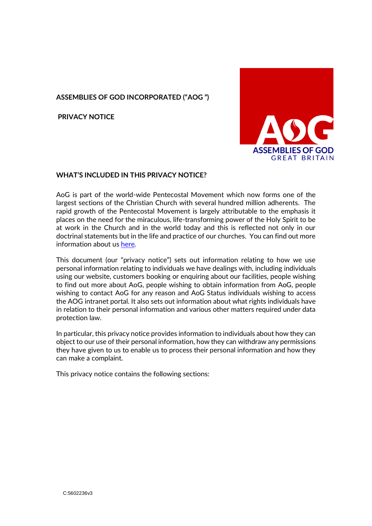## **ASSEMBLIES OF GOD INCORPORATED ("AOG ")**

**PRIVACY NOTICE**



### **WHAT'S INCLUDED IN THIS PRIVACY NOTICE?**

AoG is part of the world-wide Pentecostal Movement which now forms one of the largest sections of the Christian Church with several hundred million adherents. The rapid growth of the Pentecostal Movement is largely attributable to the emphasis it places on the need for the miraculous, life-transforming power of the Holy Spirit to be at work in the Church and in the world today and this is reflected not only in our doctrinal statements but in the life and practice of our churches. You can find out more information about u[s here](https://www.aog.org.uk/)*.*

This document (our "privacy notice") sets out information relating to how we use personal information relating to individuals we have dealings with, including individuals using our website, customers booking or enquiring about our facilities, people wishing to find out more about AoG, people wishing to obtain information from AoG, people wishing to contact AoG for any reason and AoG Status individuals wishing to access the AOG intranet portal. It also sets out information about what rights individuals have in relation to their personal information and various other matters required under data protection law.

In particular, this privacy notice provides information to individuals about how they can object to our use of their personal information, how they can withdraw any permissions they have given to us to enable us to process their personal information and how they can make a complaint.

This privacy notice contains the following sections: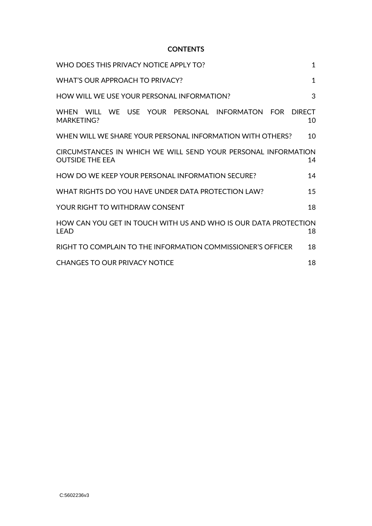#### **CONTENTS**

| WHO DOES THIS PRIVACY NOTICE APPLY TO?<br>$\mathbf{1}$                                           |                     |  |
|--------------------------------------------------------------------------------------------------|---------------------|--|
| WHAT'S OUR APPROACH TO PRIVACY?<br>$\mathbf 1$                                                   |                     |  |
| HOW WILL WE USE YOUR PERSONAL INFORMATION?<br>3                                                  |                     |  |
| WE USE YOUR<br>PFRSONAL<br><b>INFORMATON</b><br><b>FOR</b><br><b>WHFN</b><br>WILL.<br>MARKETING? | <b>DIRECT</b><br>10 |  |
| WHEN WILL WE SHARE YOUR PERSONAL INFORMATION WITH OTHERS?                                        | 10                  |  |
| CIRCUMSTANCES IN WHICH WE WILL SEND YOUR PERSONAL INFORMATION<br><b>OUTSIDE THE EEA</b><br>14    |                     |  |
| HOW DO WE KEEP YOUR PERSONAL INFORMATION SECURE?                                                 | 14                  |  |
| WHAT RIGHTS DO YOU HAVE UNDER DATA PROTECTION LAW?                                               | 15                  |  |
| YOUR RIGHT TO WITHDRAW CONSENT                                                                   | 18                  |  |
| HOW CAN YOU GET IN TOUCH WITH US AND WHO IS OUR DATA PROTECTION<br>I FAD                         | 18                  |  |
| RIGHT TO COMPLAIN TO THE INFORMATION COMMISSIONER'S OFFICER                                      | 18                  |  |
| CHANGES TO OUR PRIVACY NOTICE                                                                    | 18                  |  |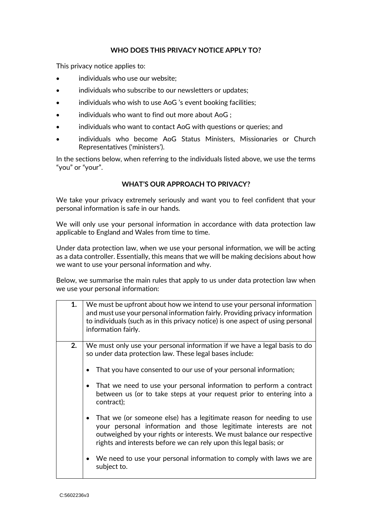### **WHO DOES THIS PRIVACY NOTICE APPLY TO?**

<span id="page-2-0"></span>This privacy notice applies to:

- individuals who use our website;
- individuals who subscribe to our newsletters or updates;
- individuals who wish to use AoG 's event booking facilities;
- $\bullet$  individuals who want to find out more about AoG ;
- individuals who want to contact AoG with questions or queries; and
- individuals who become AoG Status Ministers, Missionaries or Church Representatives ('ministers').

In the sections below, when referring to the individuals listed above, we use the terms "you" or "your".

## **WHAT'S OUR APPROACH TO PRIVACY?**

<span id="page-2-1"></span>We take your privacy extremely seriously and want you to feel confident that your personal information is safe in our hands.

We will only use your personal information in accordance with data protection law applicable to England and Wales from time to time.

Under data protection law, when we use your personal information, we will be acting as a data controller. Essentially, this means that we will be making decisions about how we want to use your personal information and why.

Below, we summarise the main rules that apply to us under data protection law when we use your personal information:

| 1. | We must be upfront about how we intend to use your personal information<br>and must use your personal information fairly. Providing privacy information<br>to individuals (such as in this privacy notice) is one aspect of using personal<br>information fairly.                                                                                                       |
|----|-------------------------------------------------------------------------------------------------------------------------------------------------------------------------------------------------------------------------------------------------------------------------------------------------------------------------------------------------------------------------|
| 2. | We must only use your personal information if we have a legal basis to do<br>so under data protection law. These legal bases include:<br>That you have consented to our use of your personal information;<br>That we need to use your personal information to perform a contract<br>between us (or to take steps at your request prior to entering into a<br>contract); |
|    | That we (or someone else) has a legitimate reason for needing to use<br>your personal information and those legitimate interests are not<br>outweighed by your rights or interests. We must balance our respective<br>rights and interests before we can rely upon this legal basis; or                                                                                 |
|    | We need to use your personal information to comply with laws we are<br>subject to.                                                                                                                                                                                                                                                                                      |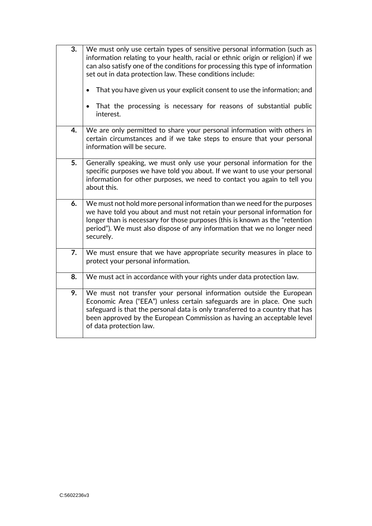| 3. | We must only use certain types of sensitive personal information (such as<br>information relating to your health, racial or ethnic origin or religion) if we<br>can also satisfy one of the conditions for processing this type of information<br>set out in data protection law. These conditions include:<br>That you have given us your explicit consent to use the information; and<br>That the processing is necessary for reasons of substantial public<br>$\bullet$<br>interest. |
|----|-----------------------------------------------------------------------------------------------------------------------------------------------------------------------------------------------------------------------------------------------------------------------------------------------------------------------------------------------------------------------------------------------------------------------------------------------------------------------------------------|
| 4. | We are only permitted to share your personal information with others in<br>certain circumstances and if we take steps to ensure that your personal<br>information will be secure.                                                                                                                                                                                                                                                                                                       |
| 5. | Generally speaking, we must only use your personal information for the<br>specific purposes we have told you about. If we want to use your personal<br>information for other purposes, we need to contact you again to tell you<br>about this.                                                                                                                                                                                                                                          |
| 6. | We must not hold more personal information than we need for the purposes<br>we have told you about and must not retain your personal information for<br>longer than is necessary for those purposes (this is known as the "retention<br>period"). We must also dispose of any information that we no longer need<br>securely.                                                                                                                                                           |
| 7. | We must ensure that we have appropriate security measures in place to<br>protect your personal information.                                                                                                                                                                                                                                                                                                                                                                             |
| 8. | We must act in accordance with your rights under data protection law.                                                                                                                                                                                                                                                                                                                                                                                                                   |
| 9. | We must not transfer your personal information outside the European<br>Economic Area ("EEA") unless certain safeguards are in place. One such<br>safeguard is that the personal data is only transferred to a country that has<br>been approved by the European Commission as having an acceptable level<br>of data protection law.                                                                                                                                                     |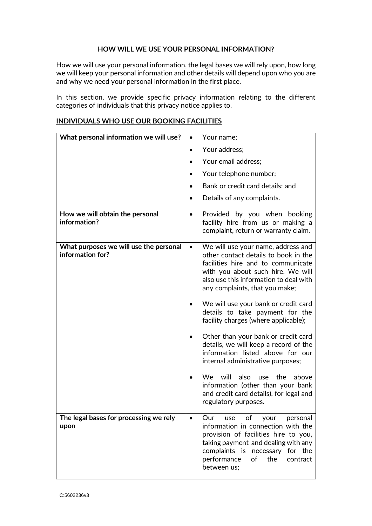#### **HOW WILL WE USE YOUR PERSONAL INFORMATION?**

<span id="page-4-0"></span>How we will use your personal information, the legal bases we will rely upon, how long we will keep your personal information and other details will depend upon who you are and why we need your personal information in the first place.

In this section, we provide specific privacy information relating to the different categories of individuals that this privacy notice applies to.

| What personal information we will use?                     | Your name;                                                                                                                                                                                                                                          |
|------------------------------------------------------------|-----------------------------------------------------------------------------------------------------------------------------------------------------------------------------------------------------------------------------------------------------|
|                                                            | Your address;                                                                                                                                                                                                                                       |
|                                                            | Your email address;                                                                                                                                                                                                                                 |
|                                                            | Your telephone number;                                                                                                                                                                                                                              |
|                                                            | Bank or credit card details; and                                                                                                                                                                                                                    |
|                                                            | Details of any complaints.                                                                                                                                                                                                                          |
| How we will obtain the personal<br>information?            | Provided by you when booking<br>$\bullet$<br>facility hire from us or making a<br>complaint, return or warranty claim.                                                                                                                              |
| What purposes we will use the personal<br>information for? | We will use your name, address and<br>other contact details to book in the<br>facilities hire and to communicate<br>with you about such hire. We will<br>also use this information to deal with<br>any complaints, that you make;                   |
|                                                            | We will use your bank or credit card<br>details to take payment for the<br>facility charges (where applicable);                                                                                                                                     |
|                                                            | Other than your bank or credit card<br>details, we will keep a record of the<br>information listed above for our<br>internal administrative purposes;                                                                                               |
|                                                            | We will<br>also<br>use the<br>above<br>information (other than your bank<br>and credit card details), for legal and<br>regulatory purposes.                                                                                                         |
| The legal bases for processing we rely<br>upon             | of<br>Our<br>your<br>personal<br>use<br>information in connection with the<br>provision of facilities hire to you,<br>taking payment and dealing with any<br>complaints is necessary for the<br>performance<br>of<br>the<br>contract<br>between us; |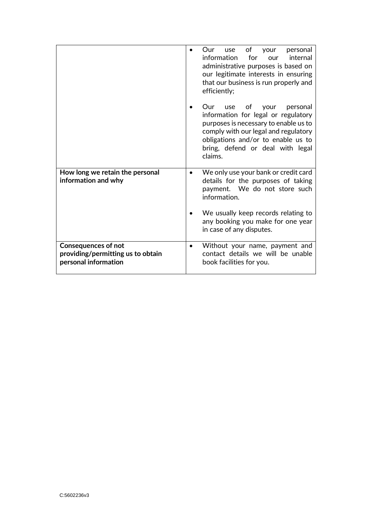|                                                                                         | of<br>personal<br>Our<br>use<br>your<br>information<br>for<br>internal<br>our<br>administrative purposes is based on<br>our legitimate interests in ensuring<br>that our business is run properly and<br>efficiently;                             |
|-----------------------------------------------------------------------------------------|---------------------------------------------------------------------------------------------------------------------------------------------------------------------------------------------------------------------------------------------------|
|                                                                                         | Our<br>οf<br>personal<br>use<br>your<br>information for legal or regulatory<br>purposes is necessary to enable us to<br>comply with our legal and regulatory<br>obligations and/or to enable us to<br>bring, defend or deal with legal<br>claims. |
| How long we retain the personal<br>information and why                                  | We only use your bank or credit card<br>details for the purposes of taking<br>payment. We do not store such<br>information.                                                                                                                       |
|                                                                                         | We usually keep records relating to<br>any booking you make for one year<br>in case of any disputes.                                                                                                                                              |
| <b>Consequences of not</b><br>providing/permitting us to obtain<br>personal information | Without your name, payment and<br>contact details we will be unable<br>book facilities for you.                                                                                                                                                   |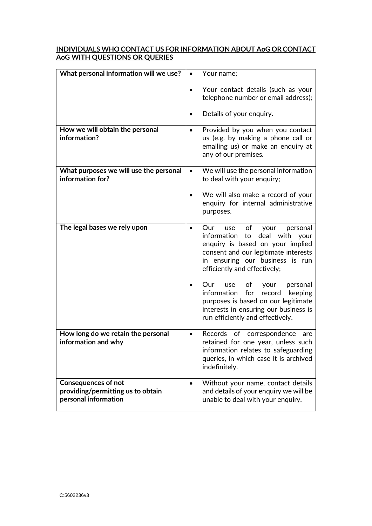## **INDIVIDUALS WHO CONTACT US FOR INFORMATION ABOUT AoG OR CONTACT AoG WITH QUESTIONS OR QUERIES**

| What personal information will we use?                                                  | Your name;                                                                                                                                                                                                                    |
|-----------------------------------------------------------------------------------------|-------------------------------------------------------------------------------------------------------------------------------------------------------------------------------------------------------------------------------|
|                                                                                         | Your contact details (such as your<br>telephone number or email address);                                                                                                                                                     |
|                                                                                         | Details of your enquiry.                                                                                                                                                                                                      |
| How we will obtain the personal<br>information?                                         | Provided by you when you contact<br>us (e.g. by making a phone call or<br>emailing us) or make an enquiry at<br>any of our premises.                                                                                          |
| What purposes we will use the personal<br>information for?                              | We will use the personal information<br>$\bullet$<br>to deal with your enquiry;                                                                                                                                               |
|                                                                                         | We will also make a record of your<br>enquiry for internal administrative<br>purposes.                                                                                                                                        |
| The legal bases we rely upon                                                            | of<br>Our<br>personal<br>your<br>use<br>information<br>deal with<br>to<br>your<br>enquiry is based on your implied<br>consent and our legitimate interests<br>in ensuring our business is run<br>efficiently and effectively; |
|                                                                                         | Our<br>оf<br>personal<br>use<br>your<br>information<br>for<br>record<br>keeping<br>purposes is based on our legitimate<br>interests in ensuring our business is<br>run efficiently and effectively.                           |
| How long do we retain the personal<br>information and why                               | Records of correspondence<br>are<br>retained for one year, unless such<br>information relates to safeguarding<br>queries, in which case it is archived<br>indefinitely.                                                       |
| <b>Consequences of not</b><br>providing/permitting us to obtain<br>personal information | Without your name, contact details<br>and details of your enquiry we will be<br>unable to deal with your enquiry.                                                                                                             |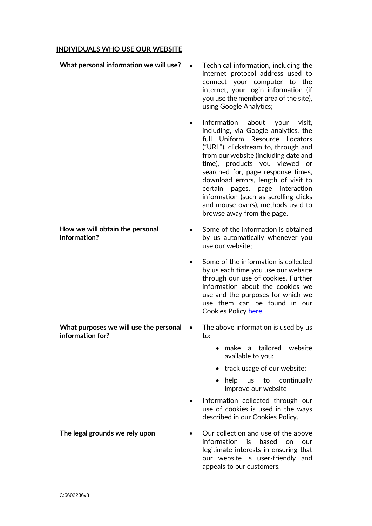# **INDIVIDUALS WHO USE OUR WEBSITE**

| What personal information we will use?                     |                  | Technical information, including the<br>internet protocol address used to<br>connect your computer to the<br>internet, your login information (if<br>you use the member area of the site),<br>using Google Analytics;                                                                                                                                                                                                                         |
|------------------------------------------------------------|------------------|-----------------------------------------------------------------------------------------------------------------------------------------------------------------------------------------------------------------------------------------------------------------------------------------------------------------------------------------------------------------------------------------------------------------------------------------------|
|                                                            | full<br>certain  | Information about<br>your<br>visit,<br>including, via Google analytics, the<br>Uniform Resource Locators<br>("URL"), clickstream to, through and<br>from our website (including date and<br>time), products you viewed or<br>searched for, page response times,<br>download errors, length of visit to<br>pages, page interaction<br>information (such as scrolling clicks<br>and mouse-overs), methods used to<br>browse away from the page. |
| How we will obtain the personal<br>information?            | use our website; | Some of the information is obtained<br>by us automatically whenever you                                                                                                                                                                                                                                                                                                                                                                       |
|                                                            |                  | Some of the information is collected<br>by us each time you use our website<br>through our use of cookies. Further<br>information about the cookies we<br>use and the purposes for which we<br>use them can be found in our<br>Cookies Policy here.                                                                                                                                                                                           |
| What purposes we will use the personal<br>information for? | $\bullet$<br>to: | The above information is used by us                                                                                                                                                                                                                                                                                                                                                                                                           |
|                                                            |                  | make a tailored<br>website<br>available to you;                                                                                                                                                                                                                                                                                                                                                                                               |
|                                                            |                  | track usage of our website;<br>help<br>continually<br><b>us</b><br>to<br>improve our website                                                                                                                                                                                                                                                                                                                                                  |
|                                                            |                  | Information collected through our<br>use of cookies is used in the ways<br>described in our Cookies Policy.                                                                                                                                                                                                                                                                                                                                   |
| The legal grounds we rely upon                             | information      | Our collection and use of the above<br>is<br>based<br>on<br>our<br>legitimate interests in ensuring that<br>our website is user-friendly and<br>appeals to our customers.                                                                                                                                                                                                                                                                     |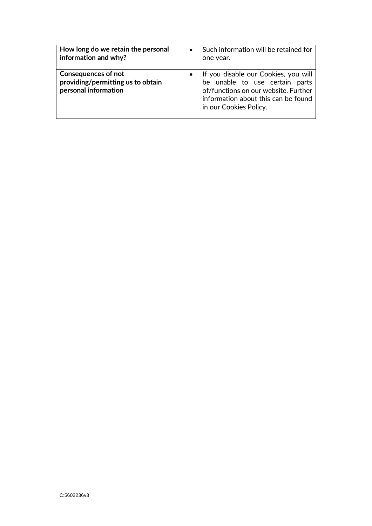| How long do we retain the personal                                               | Such information will be retained for                                                                                                                                           |
|----------------------------------------------------------------------------------|---------------------------------------------------------------------------------------------------------------------------------------------------------------------------------|
| information and why?                                                             | one year.                                                                                                                                                                       |
| Consequences of not<br>providing/permitting us to obtain<br>personal information | If you disable our Cookies, you will<br>be unable to use certain parts<br>of/functions on our website. Further<br>information about this can be found<br>in our Cookies Policy. |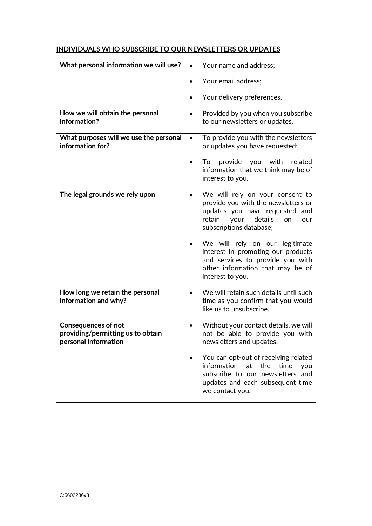# **INDIVIDUALS WHO SUBSCRIBE TO OUR NEWSLETTERS OR UPDATES**

| What personal information we will use?                                                  | Your name and address;<br>$\bullet$                                                                                                                                           |
|-----------------------------------------------------------------------------------------|-------------------------------------------------------------------------------------------------------------------------------------------------------------------------------|
|                                                                                         | Your email address;                                                                                                                                                           |
|                                                                                         | Your delivery preferences.                                                                                                                                                    |
| How we will obtain the personal<br>information?                                         | Provided by you when you subscribe<br>$\bullet$<br>to our newsletters or updates.                                                                                             |
| What purposes will we use the personal<br>information for?                              | To provide you with the newsletters<br>$\bullet$<br>or updates you have requested;                                                                                            |
|                                                                                         | provide you with<br>To<br>related<br>information that we think may be of<br>interest to you.                                                                                  |
| The legal grounds we rely upon                                                          | We will rely on your consent to<br>provide you with the newsletters or<br>updates you have requested and<br>retain<br>details<br>your<br>on<br>our<br>subscriptions database; |
|                                                                                         | We will rely on our legitimate<br>interest in promoting our products<br>and services to provide you with<br>other information that may be of<br>interest to you.              |
| How long we retain the personal<br>information and why?                                 | We will retain such details until such<br>$\bullet$<br>time as you confirm that you would<br>like us to unsubscribe.                                                          |
| <b>Consequences of not</b><br>providing/permitting us to obtain<br>personal information | Without your contact details, we will<br>not be able to provide you with<br>newsletters and updates;                                                                          |
|                                                                                         | You can opt-out of receiving related<br>information<br>at<br>the<br>time<br>you<br>subscribe to our newsletters and<br>updates and each subsequent time<br>we contact you.    |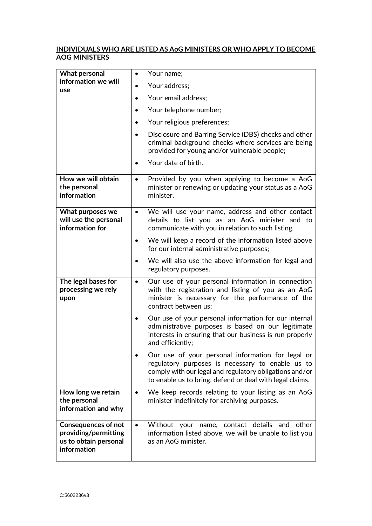## **INDIVIDUALS WHO ARE LISTED AS AoG MINISTERS OR WHO APPLY TO BECOME AOG MINISTERS**

<span id="page-10-0"></span>

| <b>What personal</b>                                                                       | Your name;<br>$\bullet$                                                                                                                                                                                                      |
|--------------------------------------------------------------------------------------------|------------------------------------------------------------------------------------------------------------------------------------------------------------------------------------------------------------------------------|
| information we will<br>use                                                                 | Your address;                                                                                                                                                                                                                |
|                                                                                            | Your email address;                                                                                                                                                                                                          |
|                                                                                            | Your telephone number;                                                                                                                                                                                                       |
|                                                                                            | Your religious preferences;<br>$\bullet$                                                                                                                                                                                     |
|                                                                                            | Disclosure and Barring Service (DBS) checks and other<br>criminal background checks where services are being<br>provided for young and/or vulnerable people;                                                                 |
|                                                                                            | Your date of birth.<br>٠                                                                                                                                                                                                     |
| How we will obtain<br>the personal<br>information                                          | Provided by you when applying to become a AoG<br>$\bullet$<br>minister or renewing or updating your status as a AoG<br>minister.                                                                                             |
| What purposes we<br>will use the personal<br>information for                               | We will use your name, address and other contact<br>$\bullet$<br>details to list you as an AoG minister and to<br>communicate with you in relation to such listing.                                                          |
|                                                                                            | We will keep a record of the information listed above<br>٠<br>for our internal administrative purposes;                                                                                                                      |
|                                                                                            | We will also use the above information for legal and<br>$\bullet$<br>regulatory purposes.                                                                                                                                    |
| The legal bases for<br>processing we rely<br>upon                                          | Our use of your personal information in connection<br>$\bullet$<br>with the registration and listing of you as an AoG<br>minister is necessary for the performance of the<br>contract between us;                            |
|                                                                                            | Our use of your personal information for our internal<br>$\bullet$<br>administrative purposes is based on our legitimate<br>interests in ensuring that our business is run properly<br>and efficiently;                      |
|                                                                                            | Our use of your personal information for legal or<br>regulatory purposes is necessary to enable us to<br>comply with our legal and regulatory obligations and/or<br>to enable us to bring, defend or deal with legal claims. |
| How long we retain<br>the personal<br>information and why                                  | We keep records relating to your listing as an AoG<br>$\bullet$<br>minister indefinitely for archiving purposes.                                                                                                             |
| <b>Consequences of not</b><br>providing/permitting<br>us to obtain personal<br>information | Without your name, contact details and other<br>$\bullet$<br>information listed above, we will be unable to list you<br>as an AoG minister.                                                                                  |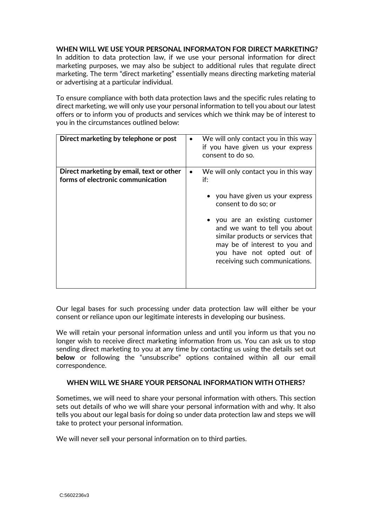### **WHEN WILL WE USE YOUR PERSONAL INFORMATON FOR DIRECT MARKETING?**

In addition to data protection law, if we use your personal information for direct marketing purposes, we may also be subject to additional rules that regulate direct marketing. The term "direct marketing" essentially means directing marketing material or advertising at a particular individual.

To ensure compliance with both data protection laws and the specific rules relating to direct marketing, we will only use your personal information to tell you about our latest offers or to inform you of products and services which we think may be of interest to you in the circumstances outlined below:

| Direct marketing by telephone or post                                         | We will only contact you in this way<br>if you have given us your express<br>consent to do so.                                                                                                                                                                                                                  |
|-------------------------------------------------------------------------------|-----------------------------------------------------------------------------------------------------------------------------------------------------------------------------------------------------------------------------------------------------------------------------------------------------------------|
| Direct marketing by email, text or other<br>forms of electronic communication | We will only contact you in this way<br>if:<br>• you have given us your express<br>consent to do so; or<br>• you are an existing customer<br>and we want to tell you about<br>similar products or services that<br>may be of interest to you and<br>you have not opted out of<br>receiving such communications. |

Our legal bases for such processing under data protection law will either be your consent or reliance upon our legitimate interests in developing our business.

We will retain your personal information unless and until you inform us that you no longer wish to receive direct marketing information from us. You can ask us to stop sending direct marketing to you at any time by contacting us using the details set out **below** or following the "unsubscribe" options contained within all our email correspondence.

#### <span id="page-11-0"></span>**WHEN WILL WE SHARE YOUR PERSONAL INFORMATION WITH OTHERS?**

Sometimes, we will need to share your personal information with others. This section sets out details of who we will share your personal information with and why. It also tells you about our legal basis for doing so under data protection law and steps we will take to protect your personal information.

We will never sell your personal information on to third parties.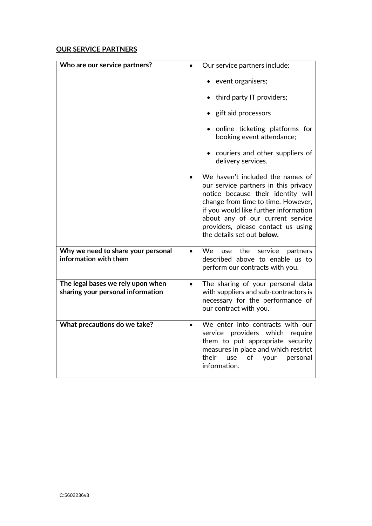## **OUR SERVICE PARTNERS**

| Who are our service partners?                                          | Our service partners include:                                                                                                                                                                                                                                                                         |
|------------------------------------------------------------------------|-------------------------------------------------------------------------------------------------------------------------------------------------------------------------------------------------------------------------------------------------------------------------------------------------------|
|                                                                        |                                                                                                                                                                                                                                                                                                       |
|                                                                        | event organisers;                                                                                                                                                                                                                                                                                     |
|                                                                        | third party IT providers;                                                                                                                                                                                                                                                                             |
|                                                                        | • gift aid processors                                                                                                                                                                                                                                                                                 |
|                                                                        | • online ticketing platforms for<br>booking event attendance;                                                                                                                                                                                                                                         |
|                                                                        | • couriers and other suppliers of<br>delivery services.                                                                                                                                                                                                                                               |
|                                                                        | We haven't included the names of<br>our service partners in this privacy<br>notice because their identity will<br>change from time to time. However,<br>if you would like further information<br>about any of our current service<br>providers, please contact us using<br>the details set out below. |
| Why we need to share your personal<br>information with them            | We use<br>the<br>service<br>partners<br>$\bullet$<br>described above to enable us to<br>perform our contracts with you.                                                                                                                                                                               |
| The legal bases we rely upon when<br>sharing your personal information | The sharing of your personal data<br>$\bullet$<br>with suppliers and sub-contractors is<br>necessary for the performance of<br>our contract with you.                                                                                                                                                 |
| What precautions do we take?                                           | We enter into contracts with our<br>$\bullet$<br>service providers which<br>require<br>them to put appropriate security<br>measures in place and which restrict<br>their<br>of<br>use<br>personal<br>your<br>information.                                                                             |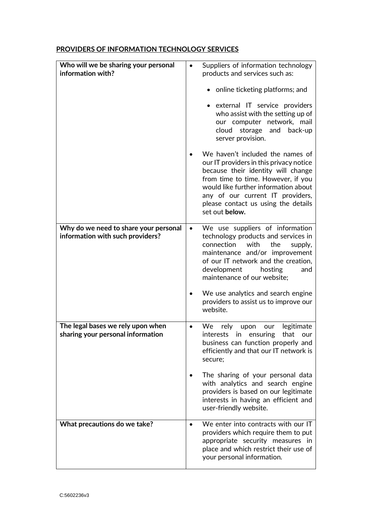## **PROVIDERS OF INFORMATION TECHNOLOGY SERVICES**

| Who will we be sharing your personal<br>information with?              | Suppliers of information technology<br>$\bullet$<br>products and services such as:                                                                                                                                                                                                                                                                                                                                                                                                                 |
|------------------------------------------------------------------------|----------------------------------------------------------------------------------------------------------------------------------------------------------------------------------------------------------------------------------------------------------------------------------------------------------------------------------------------------------------------------------------------------------------------------------------------------------------------------------------------------|
|                                                                        | • online ticketing platforms; and<br>• external IT service providers<br>who assist with the setting up of<br>our computer network, mail<br>cloud<br>storage<br>and<br>back-up<br>server provision.<br>We haven't included the names of<br>our IT providers in this privacy notice<br>because their identity will change<br>from time to time. However, if you<br>would like further information about<br>any of our current IT providers,<br>please contact us using the details<br>set out below. |
| Why do we need to share your personal                                  | We use suppliers of information<br>$\bullet$                                                                                                                                                                                                                                                                                                                                                                                                                                                       |
| information with such providers?                                       | technology products and services in<br>with<br>the<br>connection<br>supply,<br>maintenance and/or improvement<br>of our IT network and the creation,<br>development<br>hosting<br>and<br>maintenance of our website;<br>We use analytics and search engine<br>providers to assist us to improve our<br>website.                                                                                                                                                                                    |
| The legal bases we rely upon when<br>sharing your personal information | legitimate<br>We<br>rely<br>upon<br>our<br>$\bullet$<br>that<br><i>interests</i><br>in<br>ensuring<br>our<br>business can function properly and<br>efficiently and that our IT network is<br>secure;                                                                                                                                                                                                                                                                                               |
|                                                                        | The sharing of your personal data<br>with analytics and search engine<br>providers is based on our legitimate<br>interests in having an efficient and<br>user-friendly website.                                                                                                                                                                                                                                                                                                                    |
| What precautions do we take?                                           | We enter into contracts with our IT<br>$\bullet$<br>providers which require them to put<br>appropriate security measures in<br>place and which restrict their use of<br>your personal information.                                                                                                                                                                                                                                                                                                 |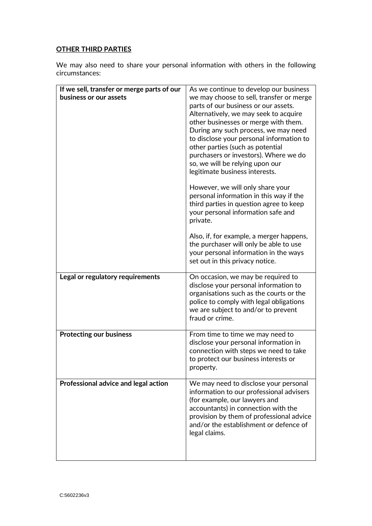# **OTHER THIRD PARTIES**

We may also need to share your personal information with others in the following circumstances:

| If we sell, transfer or merge parts of our | As we continue to develop our business                                                                                                                                                                                                                                                                                                                                                                  |
|--------------------------------------------|---------------------------------------------------------------------------------------------------------------------------------------------------------------------------------------------------------------------------------------------------------------------------------------------------------------------------------------------------------------------------------------------------------|
| business or our assets                     | we may choose to sell, transfer or merge<br>parts of our business or our assets.<br>Alternatively, we may seek to acquire<br>other businesses or merge with them.<br>During any such process, we may need<br>to disclose your personal information to<br>other parties (such as potential<br>purchasers or investors). Where we do<br>so, we will be relying upon our<br>legitimate business interests. |
|                                            | However, we will only share your<br>personal information in this way if the<br>third parties in question agree to keep<br>your personal information safe and<br>private.                                                                                                                                                                                                                                |
|                                            | Also, if, for example, a merger happens,<br>the purchaser will only be able to use<br>your personal information in the ways<br>set out in this privacy notice.                                                                                                                                                                                                                                          |
| Legal or regulatory requirements           | On occasion, we may be required to<br>disclose your personal information to<br>organisations such as the courts or the<br>police to comply with legal obligations<br>we are subject to and/or to prevent<br>fraud or crime.                                                                                                                                                                             |
| <b>Protecting our business</b>             | From time to time we may need to<br>disclose your personal information in<br>connection with steps we need to take<br>to protect our business interests or<br>property.                                                                                                                                                                                                                                 |
| Professional advice and legal action       | We may need to disclose your personal<br>information to our professional advisers<br>(for example, our lawyers and<br>accountants) in connection with the<br>provision by them of professional advice<br>and/or the establishment or defence of<br>legal claims.                                                                                                                                        |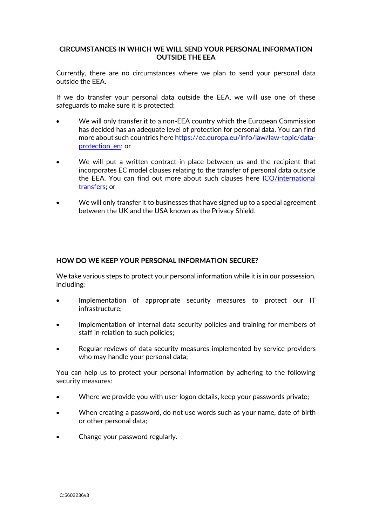### <span id="page-15-0"></span>**CIRCUMSTANCES IN WHICH WE WILL SEND YOUR PERSONAL INFORMATION OUTSIDE THE EEA**

Currently, there are no circumstances where we plan to send your personal data outside the EEA.

If we do transfer your personal data outside the EEA, we will use one of these safeguards to make sure it is protected:

- We will only transfer it to a non-EEA country which the European Commission has decided has an adequate level of protection for personal data. You can find more about such countries here [https://ec.europa.eu/info/law/law-topic/data](https://ec.europa.eu/info/law/law-topic/data-protection_en)[protection\\_en;](https://ec.europa.eu/info/law/law-topic/data-protection_en) or
- We will put a written contract in place between us and the recipient that incorporates EC model clauses relating to the transfer of personal data outside the EEA. You can find out more about such clauses here [ICO/international](https://ico.org.uk/for-organisations/guide-to-the-general-data-protection-regulation-gdpr/international-transfers/)  [transfers;](https://ico.org.uk/for-organisations/guide-to-the-general-data-protection-regulation-gdpr/international-transfers/) or
- We will only transfer it to businesses that have signed up to a special agreement between the UK and the USA known as the Privacy Shield.

#### <span id="page-15-1"></span>**HOW DO WE KEEP YOUR PERSONAL INFORMATION SECURE?**

We take various steps to protect your personal information while it is in our possession, including:

- Implementation of appropriate security measures to protect our IT infrastructure;
- Implementation of internal data security policies and training for members of staff in relation to such policies;
- Regular reviews of data security measures implemented by service providers who may handle your personal data;

You can help us to protect your personal information by adhering to the following security measures:

- Where we provide you with user logon details, keep your passwords private;
- When creating a password, do not use words such as your name, date of birth or other personal data;
- Change your password regularly.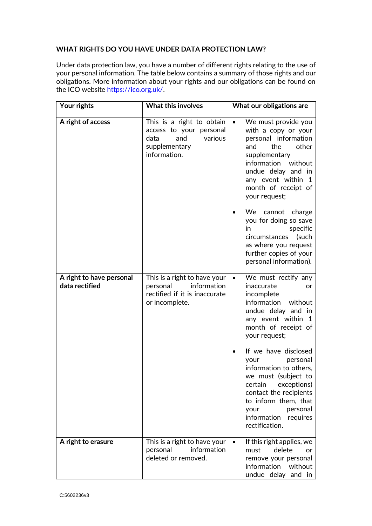### <span id="page-16-0"></span>**WHAT RIGHTS DO YOU HAVE UNDER DATA PROTECTION LAW?**

Under data protection law, you have a number of different rights relating to the use of your personal information. The table below contains a summary of those rights and our obligations. More information about your rights and our obligations can be found on the ICO website [https://ico.org.uk/.](https://ico.org.uk/)

| Your rights                                | <b>What this involves</b>                                                                                       | What our obligations are                                                                                                                                                                                                               |
|--------------------------------------------|-----------------------------------------------------------------------------------------------------------------|----------------------------------------------------------------------------------------------------------------------------------------------------------------------------------------------------------------------------------------|
| A right of access                          | This is a right to obtain<br>access to your personal<br>various<br>and<br>data<br>supplementary<br>information. | We must provide you<br>$\bullet$<br>with a copy or your<br>personal information<br>and<br>the<br>other<br>supplementary<br>information without<br>undue delay and in<br>any event within<br>-1<br>month of receipt of<br>your request; |
|                                            |                                                                                                                 | We cannot charge<br>you for doing so save<br>specific<br>in<br>circumstances<br>(such<br>as where you request<br>further copies of your<br>personal information).                                                                      |
| A right to have personal<br>data rectified | This is a right to have your<br>information<br>personal<br>rectified if it is inaccurate<br>or incomplete.      | We must rectify any<br>$\bullet$<br>inaccurate<br>or<br>incomplete<br>information<br>without<br>undue delay and in<br>any event within<br>$\mathbf{1}$<br>month of receipt of<br>your request;                                         |
|                                            |                                                                                                                 | If we have disclosed<br>personal<br>your<br>information to others,<br>we must (subject to<br>certain<br>exceptions)<br>contact the recipients<br>to inform them, that<br>personal<br>your<br>information<br>requires<br>rectification. |
| A right to erasure                         | This is a right to have your<br>information<br>personal<br>deleted or removed.                                  | If this right applies, we<br>$\bullet$<br>delete<br>must<br>or<br>remove your personal<br>information<br>without<br>undue delay and in                                                                                                 |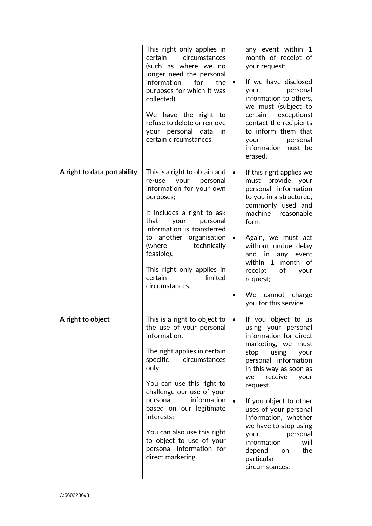|                             | This right only applies in<br>certain circumstances<br>(such as where we no<br>longer need the personal<br>information<br>for<br>the<br>purposes for which it was<br>collected).<br>We have the right to<br>refuse to delete or remove<br>your personal data<br>in<br>certain circumstances.                                                                                            | any event within 1<br>month of receipt of<br>your request;<br>If we have disclosed<br>$\bullet$<br>personal<br>your<br>information to others,<br>we must (subject to<br>certain<br>exceptions)<br>contact the recipients<br>to inform them that<br>personal<br>your<br>information must be<br>erased.                                                                                                                            |
|-----------------------------|-----------------------------------------------------------------------------------------------------------------------------------------------------------------------------------------------------------------------------------------------------------------------------------------------------------------------------------------------------------------------------------------|----------------------------------------------------------------------------------------------------------------------------------------------------------------------------------------------------------------------------------------------------------------------------------------------------------------------------------------------------------------------------------------------------------------------------------|
| A right to data portability | This is a right to obtain and<br>personal<br>re-use<br>your<br>information for your own<br>purposes;<br>It includes a right to ask<br>that<br>your<br>personal<br>information is transferred<br>to another organisation<br>technically<br>(where<br>feasible).<br>This right only applies in<br>certain<br>limited<br>circumstances.                                                    | If this right applies we<br>$\bullet$<br>must provide your<br>personal information<br>to you in a structured,<br>commonly used and<br>machine<br>reasonable<br>form<br>Again, we must act<br>$\bullet$<br>without undue delay<br>and in<br>any event<br>within 1<br>month of<br>receipt<br>of<br>your<br>request;<br>We cannot charge<br>you for this service.                                                                   |
| A right to object           | This is a right to object to<br>the use of your personal<br>information.<br>The right applies in certain<br>specific<br>circumstances<br>only.<br>You can use this right to<br>challenge our use of your<br>information<br>personal<br>based on our legitimate<br>interests;<br>You can also use this right<br>to object to use of your<br>personal information for<br>direct marketing | If you object to us<br>using your personal<br>information for direct<br>marketing, we<br>must<br>stop<br>using<br>your<br>personal information<br>in this way as soon as<br>receive<br>we<br>your<br>request.<br>If you object to other<br>$\bullet$<br>uses of your personal<br>information, whether<br>we have to stop using<br>personal<br>your<br>information<br>will<br>depend<br>the<br>on<br>particular<br>circumstances. |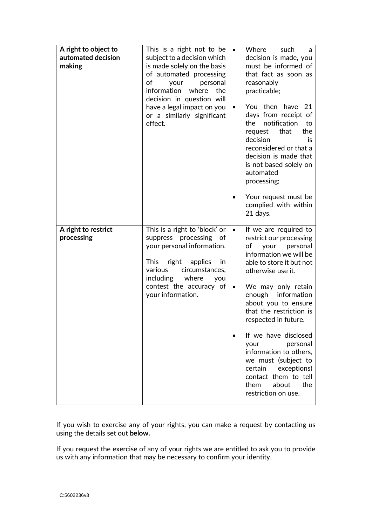| A right to object to<br>automated decision<br>making | This is a right not to be<br>subject to a decision which<br>is made solely on the basis<br>of automated processing<br>оf<br>personal<br>your<br>information<br>where<br>the<br>decision in question will<br>have a legal impact on you<br>or a similarly significant<br>effect. | $\bullet$<br>٠         | Where<br>such<br>a<br>decision is made, you<br>must be informed of<br>that fact as soon as<br>reasonably<br>practicable;<br>You then have<br>-21<br>days from receipt of<br>the<br>notification<br>to<br>that<br>the<br>request<br>decision<br>is<br>reconsidered or that a<br>decision is made that<br>is not based solely on<br>automated<br>processing;<br>Your request must be<br>complied with within<br>21 days.                                                       |
|------------------------------------------------------|---------------------------------------------------------------------------------------------------------------------------------------------------------------------------------------------------------------------------------------------------------------------------------|------------------------|------------------------------------------------------------------------------------------------------------------------------------------------------------------------------------------------------------------------------------------------------------------------------------------------------------------------------------------------------------------------------------------------------------------------------------------------------------------------------|
| A right to restrict<br>processing                    | This is a right to 'block' or<br>suppress processing of<br>your personal information.<br>right<br>applies<br>This<br>in<br>various<br>circumstances,<br>including<br>where<br>you<br>contest the accuracy of<br>your information.                                               | $\bullet$<br>$\bullet$ | If we are required to<br>restrict our processing<br>of<br>personal<br>your<br>information we will be<br>able to store it but not<br>otherwise use it.<br>We may only retain<br>information<br>enough<br>about you to ensure<br>that the restriction is<br>respected in future.<br>If we have disclosed<br>personal<br>vour<br>information to others,<br>we must (subject to<br>exceptions)<br>certain<br>contact them to tell<br>about<br>the<br>them<br>restriction on use. |

If you wish to exercise any of your rights, you can make a request by contacting us using the details set out **below.**

<span id="page-18-0"></span>If you request the exercise of any of your rights we are entitled to ask you to provide us with any information that may be necessary to confirm your identity.